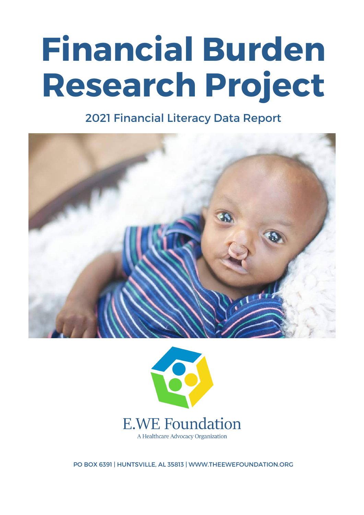# **Financial Burden Research Project**

2021 Financial Literacy Data Report





A Healthcare Advocacy Organization

PO BOX 6391 | HUNTSVILLE, AL 35813 | WWW.THEEWEFOUNDATION.ORG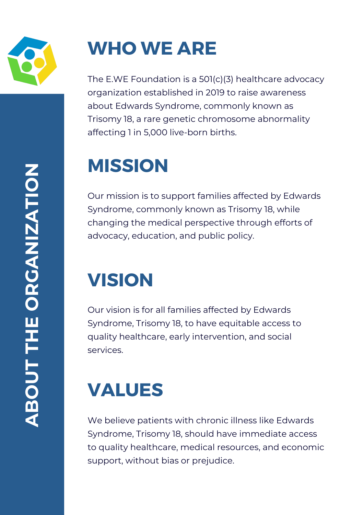

The E.WE Foundation is a 501(c)(3) healthcare advocacy organization established in 2019 to raise awareness about Edwards Syndrome, commonly known as Trisomy 18, a rare genetic chromosome abnormality affecting 1 in 5,000 live-born births.

# **MISSION**

Our mission is to support families affected by Edwards Syndrome, commonly known as Trisomy 18, while changing the medical perspective through efforts of advocacy, education, and public policy.

## **VISION**

Our vision is for all families affected by Edwards Syndrome, Trisomy 18, to have equitable access to quality healthcare, early intervention, and social services.

## **VALUES**

We believe patients with chronic illness like Edwards Syndrome, Trisomy 18, should have immediate access to quality healthcare, medical resources, and economic support, without bias or prejudice.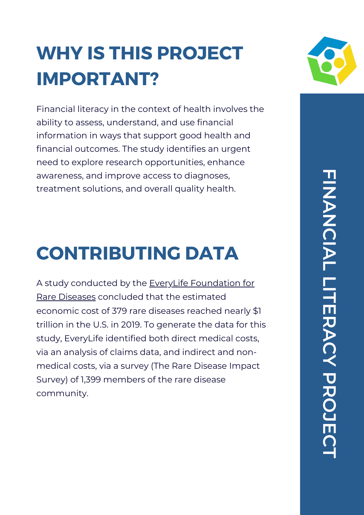## **WHY IS THIS PROJECT IMPORTANT?**

Financial literacy in the context of health involves the ability to assess, understand, and use financial information in ways that support good health and financial outcomes. The study identifies an urgent need to explore research opportunities, enhance awareness, and improve access to diagnoses, treatment solutions, and overall quality health.

## **CONTRIBUTING DATA**

A study conducted by the EveryLife [Foundation](http://everylifefoundation.org/) for Rare Diseases concluded that the estimated economic cost of 379 rare diseases reached nearly \$1 trillion in the U.S. in 2019. To generate the data for this study, EveryLife identified both direct medical costs, via an analysis of claims data, and indirect and nonmedical costs, via a survey (The Rare Disease Impact Survey) of 1,399 members of the rare disease community.

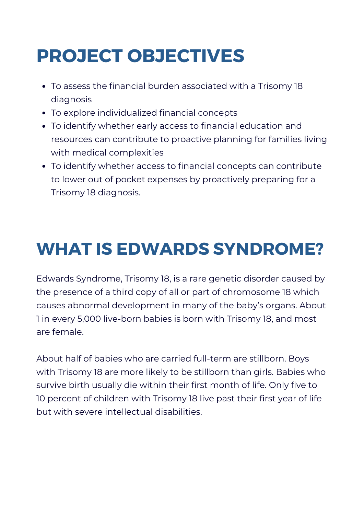## **PROJECT OBJECTIVES**

- To assess the financial burden associated with a Trisomy 18 diagnosis
- To explore individualized financial concepts
- To identify whether early access to financial education and resources can contribute to proactive planning for families living with medical complexities
- To identify whether access to financial concepts can contribute to lower out of pocket expenses by proactively preparing for a Trisomy 18 diagnosis.

## **WHAT IS EDWARDS SYNDROME?**

Edwards Syndrome, Trisomy 18, is a rare genetic disorder caused by the presence of a third copy of all or part of chromosome 18 which causes abnormal development in many of the baby's organs. About 1 in every 5,000 live-born babies is born with Trisomy 18, and most are female.

About half of babies who are carried full-term are stillborn. Boys with Trisomy 18 are more likely to be stillborn than girls. Babies who survive birth usually die within their first month of life. Only five to 10 percent of children with Trisomy 18 live past their first year of life but with severe intellectual disabilities.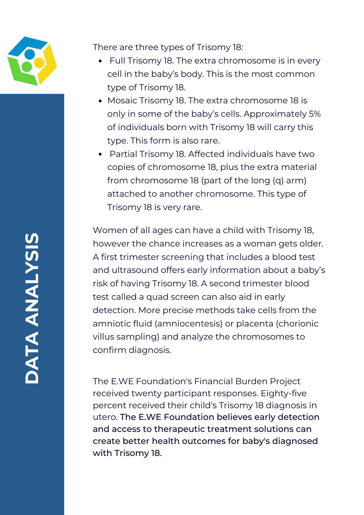

There are three types of Trisomy 18:

- Full Trisomy 18. The extra chromosome is in every cell in the baby's body. This is the most common type of Trisomy 18.
- Mosaic Trisomy 18. The extra chromosome 18 is only in some of the baby's cells. Approximately 5% of individuals born with Trisomy 18 will carry this type. This form is also rare.
- Partial Trisomy 18. Affected individuals have two copies of chromosome 18, plus the extra material from chromosome 18 (part of the long (q) arm) attached to another chromosome. This type of Trisomy 18 is very rare.

Women of all ages can have a child with Trisomy 18, however the chance increases as a woman gets older. A first trimester screening that includes a blood test and ultrasound offers early information about a baby's risk of having Trisomy 18. A second trimester blood test called a quad screen can also aid in early detection. More precise methods take cells from the amniotic fluid (amniocentesis) or placenta (chorionic villus sampling) and analyze the chromosomes to confirm diagnosis.

The E.WE Foundation's Financial Burden Project received twenty participant responses. Eighty-five percent received their child's Trisomy 18 diagnosis in utero. The E.WE Foundation believes early detection and access to therapeutic treatment solutions can create better health outcomes for baby's diagnosed with Trisomy 18.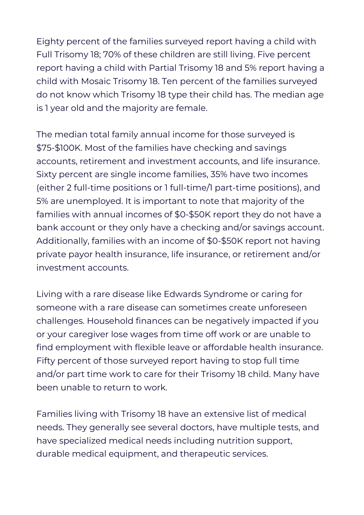Eighty percent of the families surveyed report having a child with Full Trisomy 18; 70% of these children are still living. Five percent report having a child with Partial Trisomy 18 and 5% report having a child with Mosaic Trisomy 18. Ten percent of the families surveyed do not know which Trisomy 18 type their child has. The median age is 1 year old and the majority are female.

The median total family annual income for those surveyed is \$75-\$100K. Most of the families have checking and savings accounts, retirement and investment accounts, and life insurance. Sixty percent are single income families, 35% have two incomes (either 2 full-time positions or 1 full-time/1 part-time positions), and 5% are unemployed. It is important to note that majority of the families with annual incomes of \$0-\$50K report they do not have a bank account or they only have a checking and/or savings account. Additionally, families with an income of \$0-\$50K report not having private payor health insurance, life insurance, or retirement and/or investment accounts.

Living with a rare disease like Edwards Syndrome or caring for someone with a rare disease can sometimes create unforeseen challenges. Household finances can be negatively impacted if you or your caregiver lose wages from time off work or are unable to find employment with flexible leave or affordable health insurance. Fifty percent of those surveyed report having to stop full time and/or part time work to care for their Trisomy 18 child. Many have been unable to return to work.

Families living with Trisomy 18 have an extensive list of medical needs. They generally see several doctors, have multiple tests, and have specialized medical needs including nutrition support, durable medical equipment, and therapeutic services.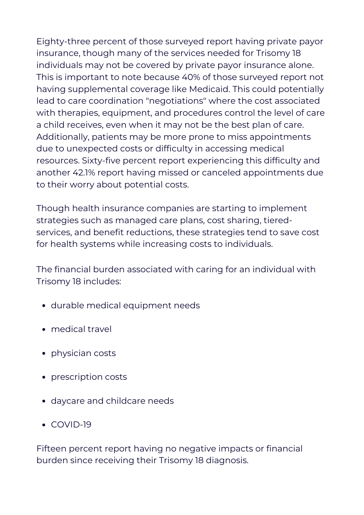Eighty-three percent of those surveyed report having private payor insurance, though many of the services needed for Trisomy 18 individuals may not be covered by private payor insurance alone. This is important to note because 40% of those surveyed report not having supplemental coverage like Medicaid. This could potentially lead to care coordination "negotiations" where the cost associated with therapies, equipment, and procedures control the level of care a child receives, even when it may not be the best plan of care. Additionally, patients may be more prone to miss appointments due to unexpected costs or difficulty in accessing medical resources. Sixty-five percent report experiencing this difficulty and another 42.1% report having missed or canceled appointments due to their worry about potential costs.

Though health insurance companies are starting to implement strategies such as managed care plans, cost sharing, tieredservices, and benefit reductions, these strategies tend to save cost for health systems while increasing costs to individuals.

The financial burden associated with caring for an individual with Trisomy 18 includes:

- durable medical equipment needs
- medical travel
- physician costs
- prescription costs
- daycare and childcare needs
- COVID-19

Fifteen percent report having no negative impacts or financial burden since receiving their Trisomy 18 diagnosis.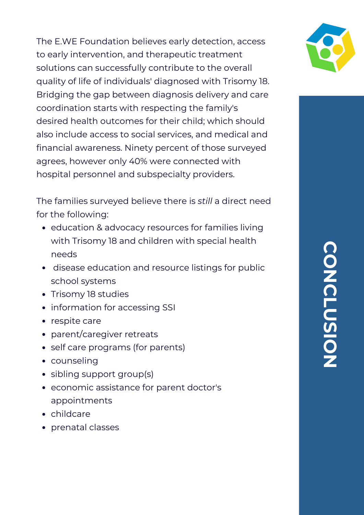The E.WE Foundation believes early detection, access to early intervention, and therapeutic treatment solutions can successfully contribute to the overall quality of life of individuals' diagnosed with Trisomy 18. Bridging the gap between diagnosis delivery and care coordination starts with respecting the family's desired health outcomes for their child; which should also include access to social services, and medical and financial awareness. Ninety percent of those surveyed agrees, however only 40% were connected with hospital personnel and subspecialty providers.

The families surveyed believe there is *still* a direct need for the following:

- education & advocacy resources for families living with Trisomy 18 and children with special health needs
- disease education and resource listings for public school systems
- Trisomy 18 studies
- information for accessing SSI
- respite care
- parent/caregiver retreats
- self care programs (for parents)
- counseling
- sibling support group(s)
- economic assistance for parent doctor's appointments
- childcare
- prenatal classes

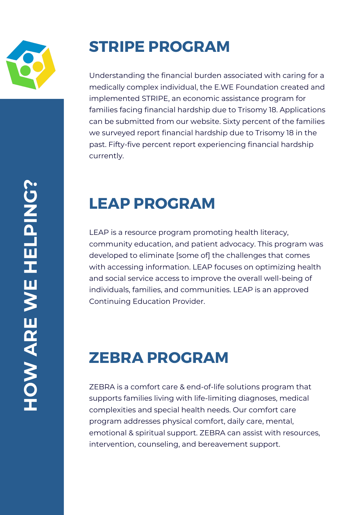

### **STRIPE PROGRAM**

Understanding the financial burden associated with caring for a medically complex individual, the E.WE Foundation created and implemented STRIPE, an economic assistance program for families facing financial hardship due to Trisomy 18. Applications can be submitted from our website. Sixty percent of the families we surveyed report financial hardship due to Trisomy 18 in the past. Fifty-five percent report experiencing financial hardship currently.

#### **LEAP PROGRAM**

LEAP is a resource program promoting health literacy, community education, and patient advocacy. This program was developed to eliminate [some of] the challenges that comes with accessing information. LEAP focuses on optimizing health and social service access to improve the overall well-being of individuals, families, and communities. LEAP is an approved Continuing Education Provider.

#### **ZEBRA PROGRAM**

ZEBRA is a comfort care & end-of-life solutions program that supports families living with life-limiting diagnoses, medical complexities and special health needs. Our comfort care program addresses physical comfort, daily care, mental, emotional & spiritual support. ZEBRA can assist with resources, intervention, counseling, and bereavement support.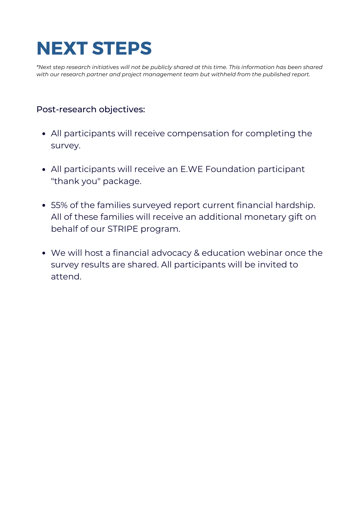## **NEXT STEPS**

\*Next step research initiatives will not be publicly shared at this time. This information has been shared *with our research partner and project management team but withheld from the published report.*

#### Post-research objectives:

- All participants will receive compensation for completing the survey.
- All participants will receive an E.WE Foundation participant "thank you" package.
- 55% of the families surveyed report current financial hardship. All of these families will receive an additional monetary gift on behalf of our STRIPE program.
- We will host a financial advocacy & education webinar once the survey results are shared. All participants will be invited to attend.